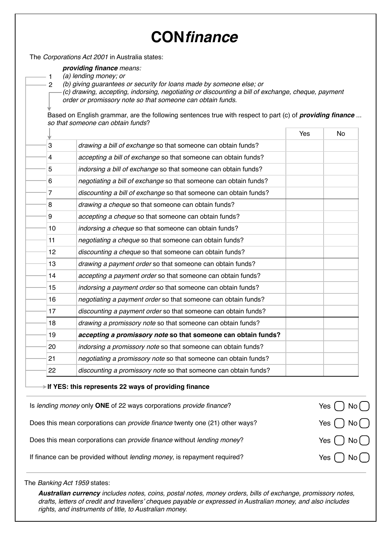## **CON***finance*

The *Corporations Act 2001* in Australia states:

*providing finance means:*

*(a) lending money; or*

1 2

*(b) giving guarantees or security for loans made by someone else; or*

*(c) drawing, accepting, indorsing, negotiating or discounting a bill of exchange, cheque, payment order or promissory note so that someone can obtain funds.*

Based on English grammar, are the following sentences true with respect to part (c) of *providing finance ... so that someone can obtain funds*?

|    |                                                                                    | Yes | No          |
|----|------------------------------------------------------------------------------------|-----|-------------|
| 3  | drawing a bill of exchange so that someone can obtain funds?                       |     |             |
| 4  | accepting a bill of exchange so that someone can obtain funds?                     |     |             |
| 5  | indorsing a bill of exchange so that someone can obtain funds?                     |     |             |
| 6  | negotiating a bill of exchange so that someone can obtain funds?                   |     |             |
| 7  | discounting a bill of exchange so that someone can obtain funds?                   |     |             |
| 8  | drawing a cheque so that someone can obtain funds?                                 |     |             |
| 9  | accepting a cheque so that someone can obtain funds?                               |     |             |
| 10 | indorsing a cheque so that someone can obtain funds?                               |     |             |
| 11 | negotiating a cheque so that someone can obtain funds?                             |     |             |
| 12 | discounting a cheque so that someone can obtain funds?                             |     |             |
| 13 | drawing a payment order so that someone can obtain funds?                          |     |             |
| 14 | accepting a payment order so that someone can obtain funds?                        |     |             |
| 15 | indorsing a payment order so that someone can obtain funds?                        |     |             |
| 16 | negotiating a payment order so that someone can obtain funds?                      |     |             |
| 17 | discounting a payment order so that someone can obtain funds?                      |     |             |
| 18 | drawing a promissory note so that someone can obtain funds?                        |     |             |
| 19 | accepting a promissory note so that someone can obtain funds?                      |     |             |
| 20 | indorsing a promissory note so that someone can obtain funds?                      |     |             |
| 21 | negotiating a promissory note so that someone can obtain funds?                    |     |             |
| 22 | discounting a promissory note so that someone can obtain funds?                    |     |             |
|    | $\rightarrow$ If YES: this represents 22 ways of providing finance                 |     |             |
|    | Is lending money only ONE of 22 ways corporations provide finance?                 |     | Yes<br>No l |
|    | Does this mean corporations can <i>provide finance</i> twenty one (21) other ways? |     | Yes         |
|    | Does this mean corporations can provide finance without lending money?             |     | Yes         |
|    | If finance can be provided without lending money, is repayment required?           |     | Yes<br>No   |

The *Banking Act 1959* states:

*Australian currency includes notes, coins, postal notes, money orders, bills of exchange, promissory notes, drafts, letters of credit and travellers' cheques payable or expressed in Australian money, and also includes rights, and instruments of title, to Australian money.*